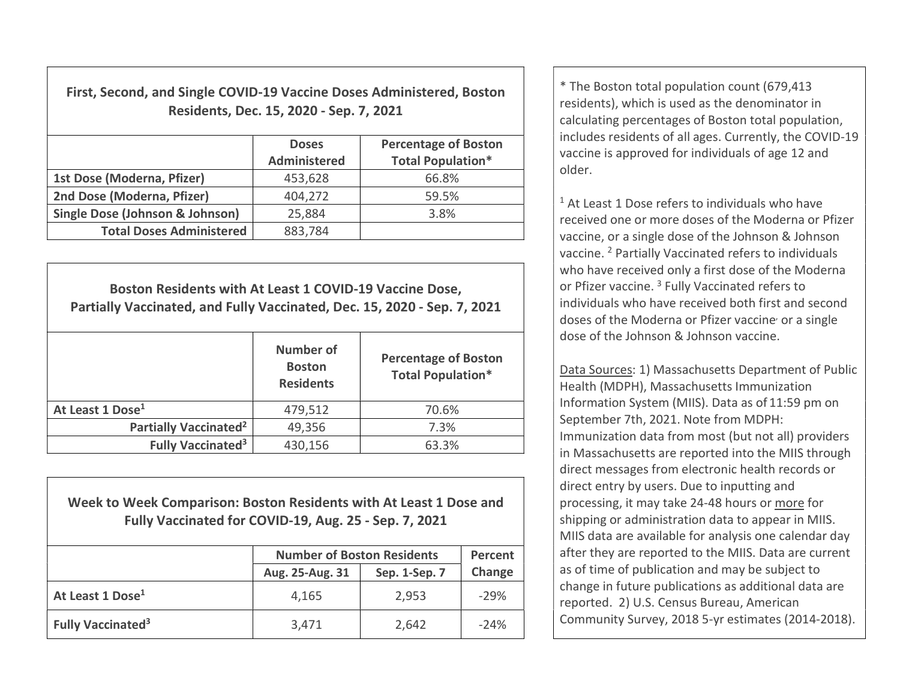First, Second, and Single COVID-19 Vaccine Doses Administered, Boston Residents, Dec. 15, 2020 - Sep. 7, 2021

|                                            | <b>Doses</b><br>Administered | <b>Percentage of Boston</b><br><b>Total Population*</b> |
|--------------------------------------------|------------------------------|---------------------------------------------------------|
| 1st Dose (Moderna, Pfizer)                 | 453,628                      | 66.8%                                                   |
| 2nd Dose (Moderna, Pfizer)                 | 404,272                      | 59.5%                                                   |
| <b>Single Dose (Johnson &amp; Johnson)</b> | 25,884                       | 3.8%                                                    |
| <b>Total Doses Administered</b>            | 883,784                      |                                                         |

Boston Residents with At Least 1 COVID-19 Vaccine Dose, Partially Vaccinated, and Fully Vaccinated, Dec. 15, 2020 - Sep. 7, 2021 Number of **Boston Residents** Percentage of Boston Total Population\* At Least 1 Dose<sup>1</sup> 179.512 1886 1998 Partially Vaccinated<sup>2</sup>  $\vert$  49,356  $\vert$  7.3% Fully Vaccinated<sup>3</sup>  $430,156$   $63.3\%$ 

Week to Week Comparison: Boston Residents with At Least 1 Dose and Fully Vaccinated for COVID-19, Aug. 25 - Sep. 7, 2021

|                                     | <b>Number of Boston Residents</b> | Percent       |        |
|-------------------------------------|-----------------------------------|---------------|--------|
|                                     | Aug. 25-Aug. 31                   | Sep. 1-Sep. 7 | Change |
| At Least 1 Dose <sup>1</sup>        | 4,165                             | 2,953         | $-29%$ |
| <b>Fully Vaccinated<sup>3</sup></b> | 3,471                             | 2,642         | $-24%$ |

\* The Boston total population count (679,413 residents), which is used as the denominator in calculating percentages of Boston total population, includes residents of all ages. Currently, the COVID-19 vaccine is approved for individuals of age 12 and older.

<sup>1</sup> At Least 1 Dose refers to individuals who have received one or more doses of the Moderna or Pfizer vaccine, or a single dose of the Johnson & Johnson vaccine. <sup>2</sup> Partially Vaccinated refers to individuals who have received only a first dose of the Moderna or Pfizer vaccine.<sup>3</sup> Fully Vaccinated refers to individuals who have received both first and second doses of the Moderna or Pfizer vaccine<sup>,</sup> or a single dose of the Johnson & Johnson vaccine.

Data Sources: 1) Massachusetts Department of Public Health (MDPH), Massachusetts Immunization Information System (MIIS). Data as of 11:59 pm on September 7th, 2021. Note from MDPH: Immunization data from most (but not all) providers in Massachusetts are reported into the MIIS through direct messages from electronic health records or direct entry by users. Due to inputting and processing, it may take 24-48 hours or more for shipping or administration data to appear in MIIS. MIIS data are available for analysis one calendar day after they are reported to the MIIS. Data are current as of time of publication and may be subject to change in future publications as additional data are reported. 2) U.S. Census Bureau, American Community Survey, 2018 5-yr estimates (2014-2018).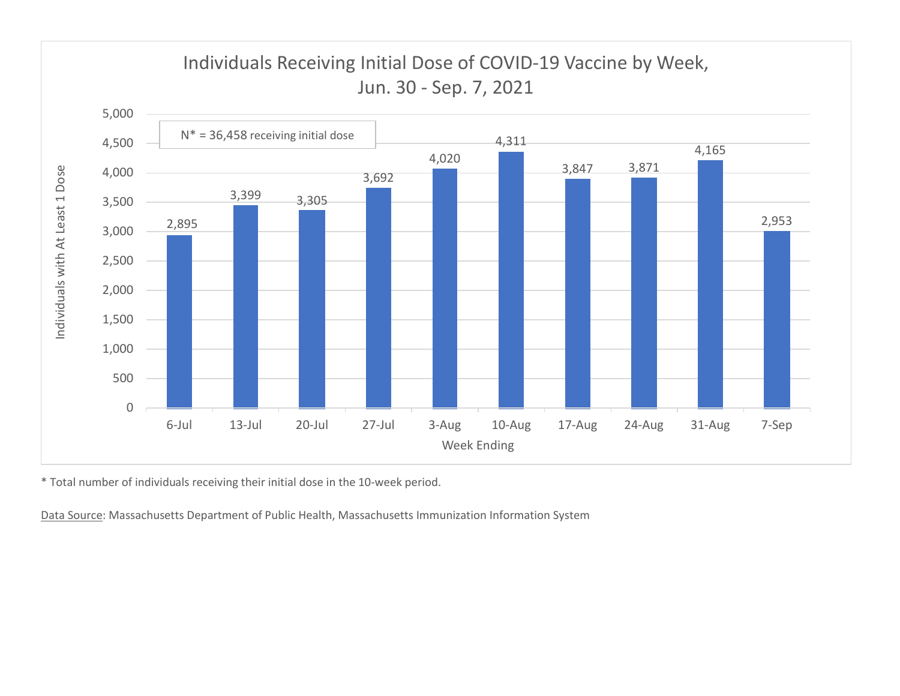

\* Total number of individuals receiving their initial dose in the 10-week period.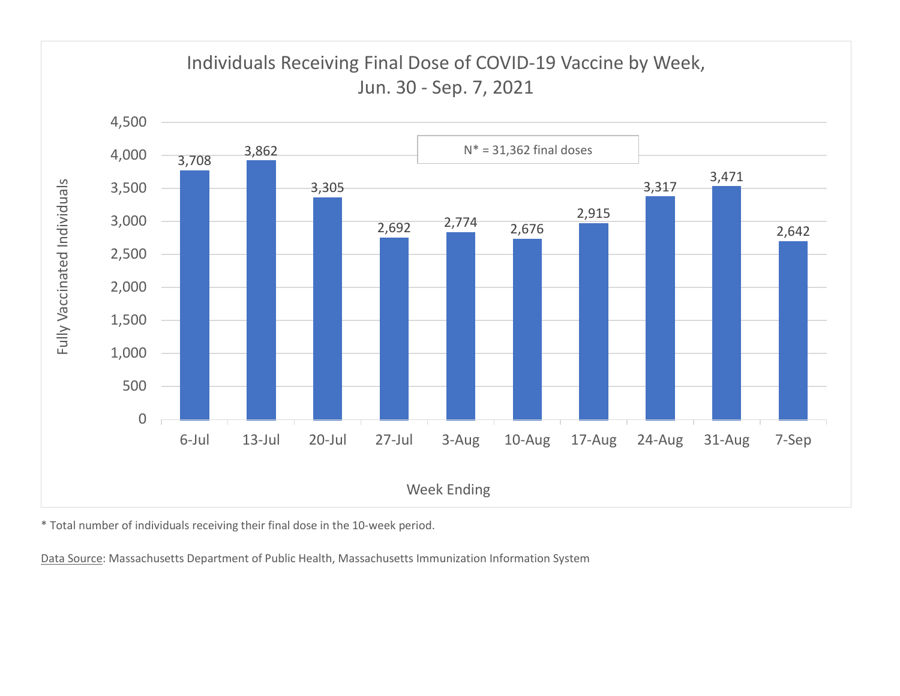

\* Total number of individuals receiving their final dose in the 10-week period.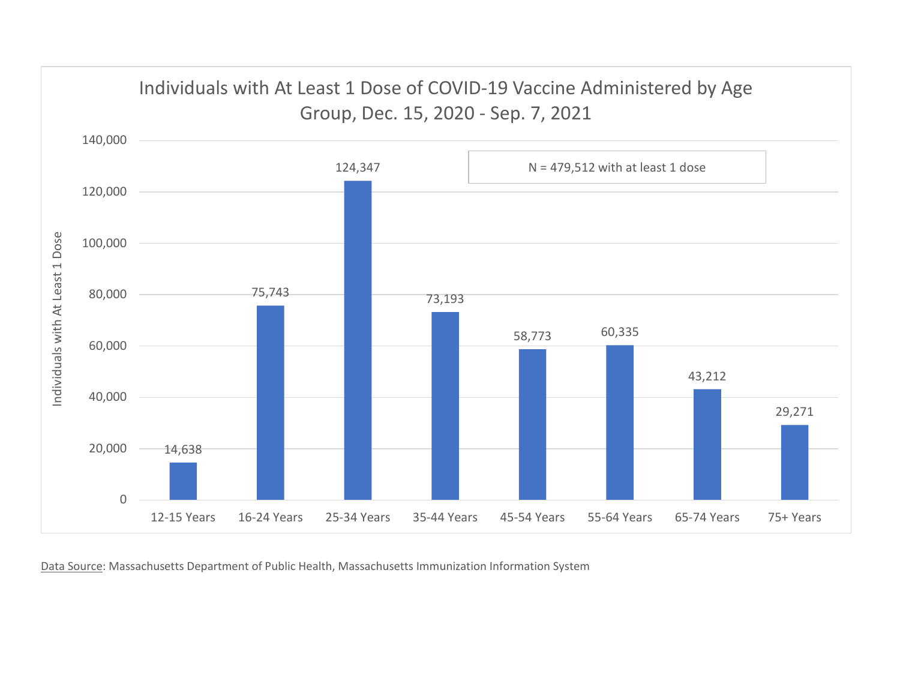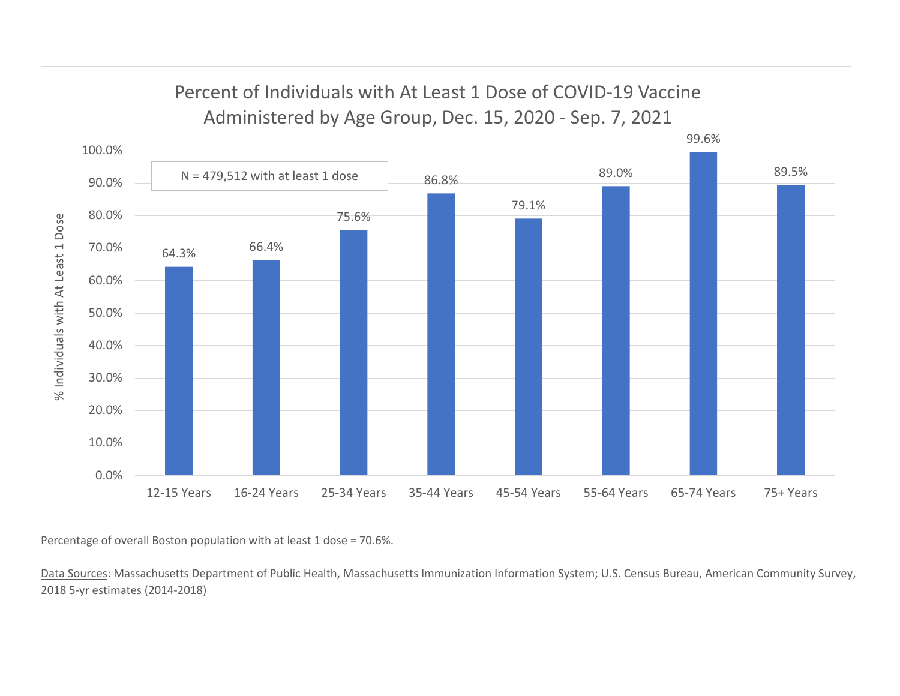

Percentage of overall Boston population with at least 1 dose = 70.6%.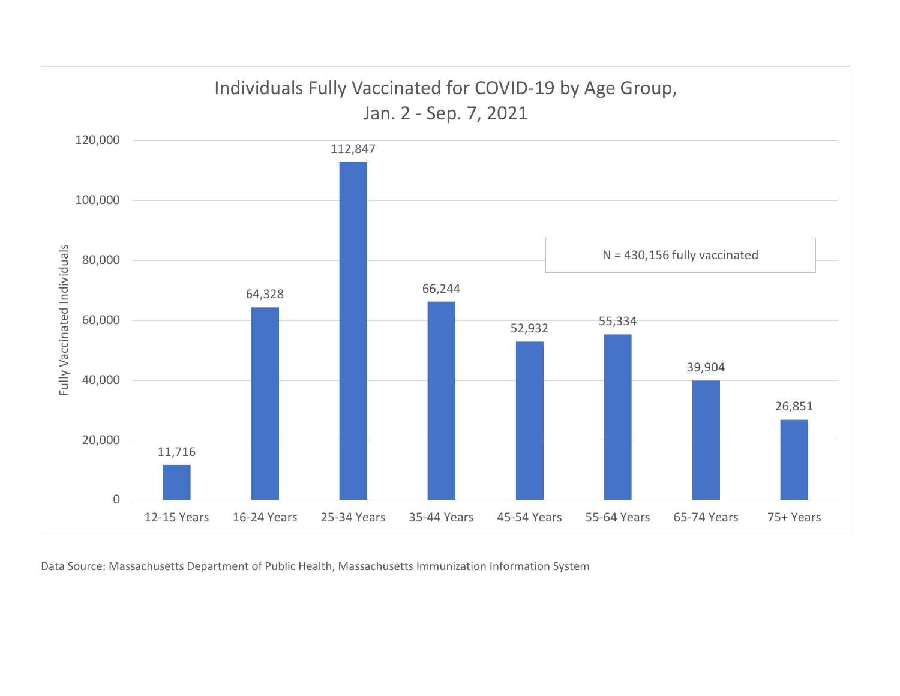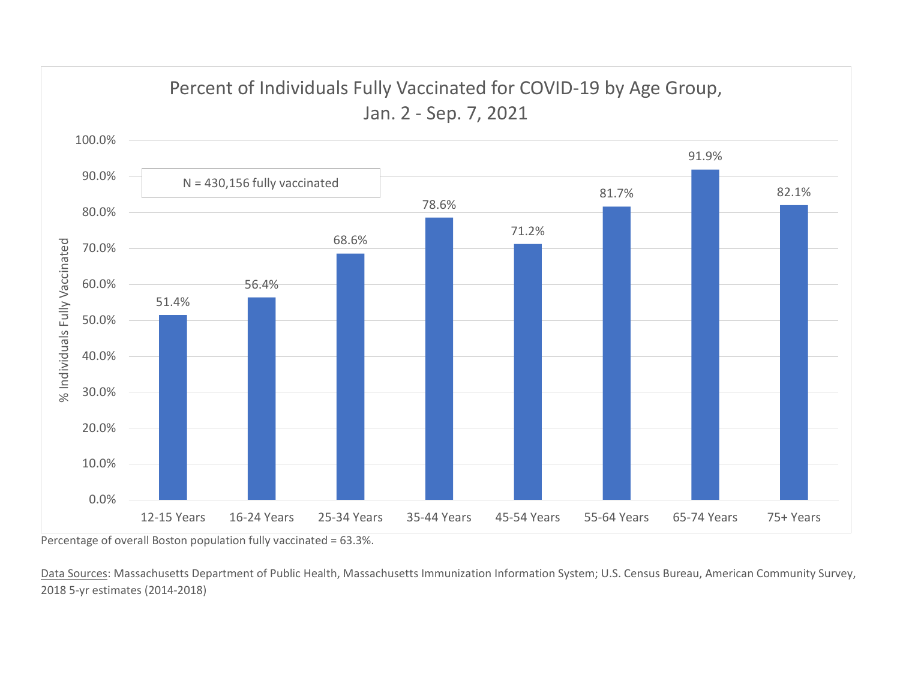

Percentage of overall Boston population fully vaccinated = 63.3%.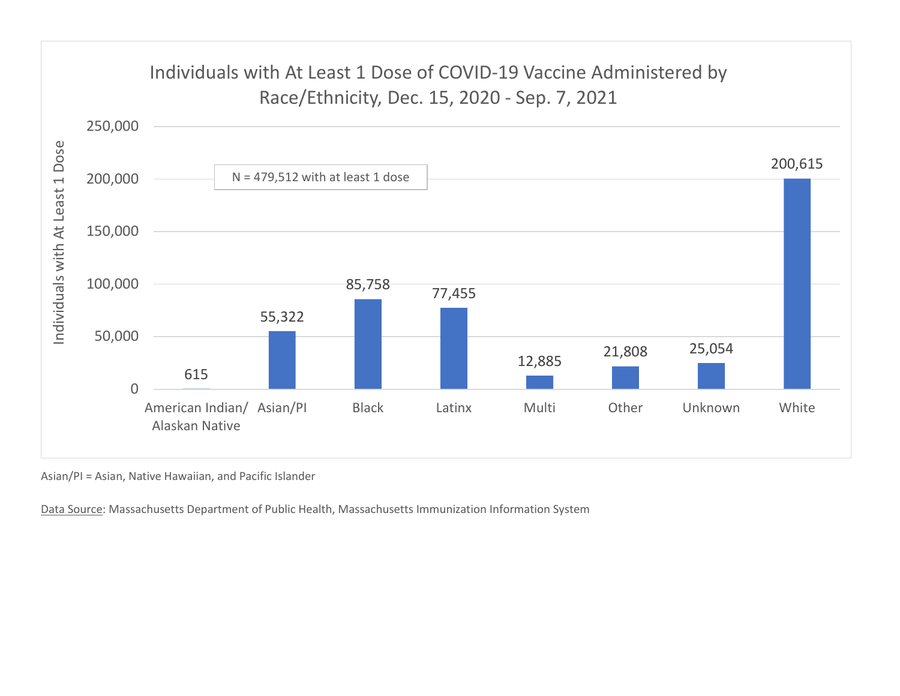

Asian/PI = Asian, Native Hawaiian, and Pacific Islander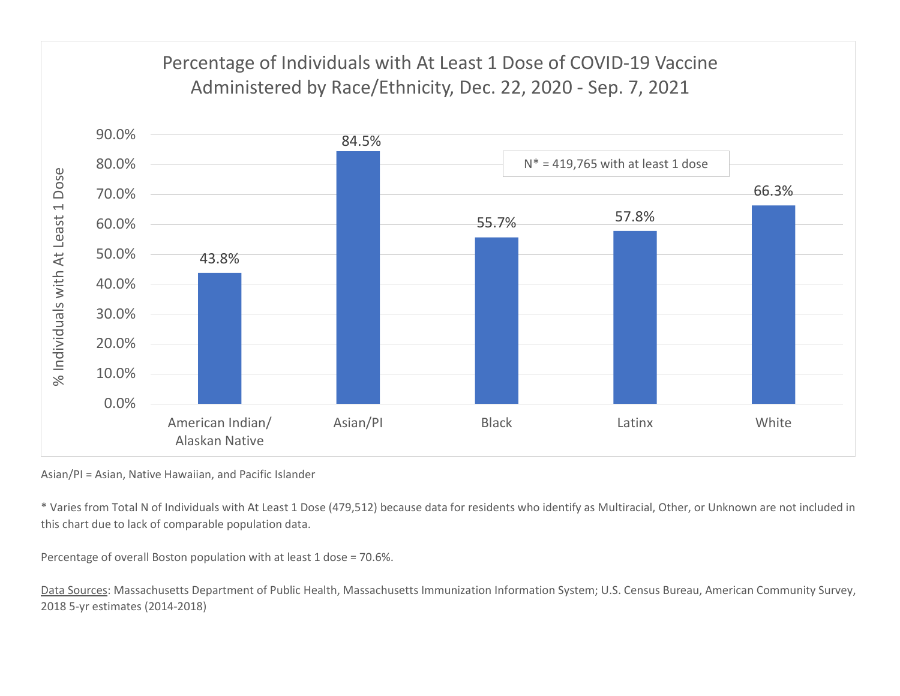

Asian/PI = Asian, Native Hawaiian, and Pacific Islander

\* Varies from Total N of Individuals with At Least 1 Dose (479,512) because data for residents who identify as Multiracial, Other, or Unknown are not included in this chart due to lack of comparable population data.

Percentage of overall Boston population with at least 1 dose = 70.6%.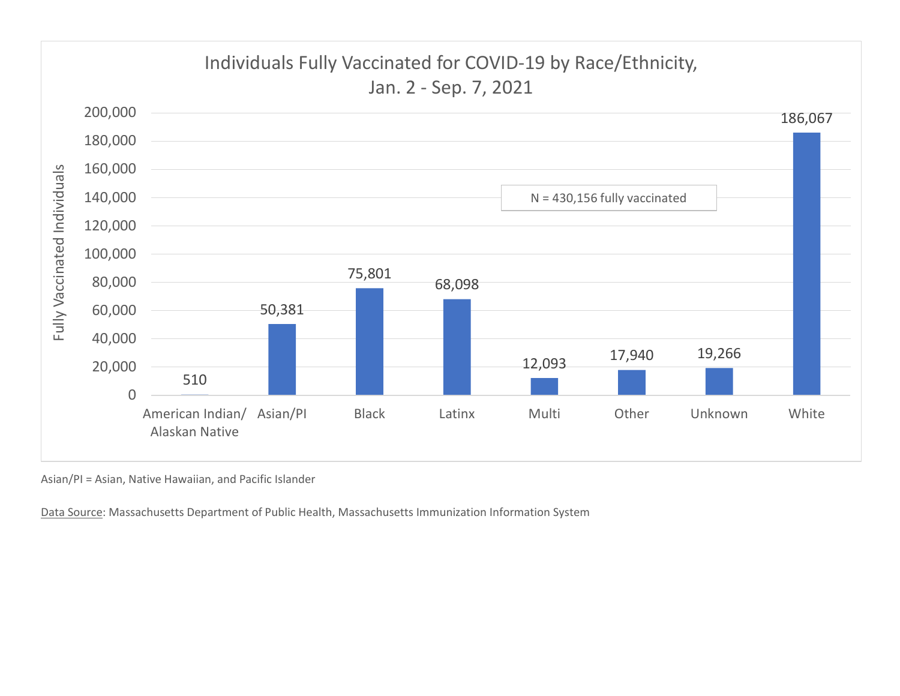

Asian/PI = Asian, Native Hawaiian, and Pacific Islander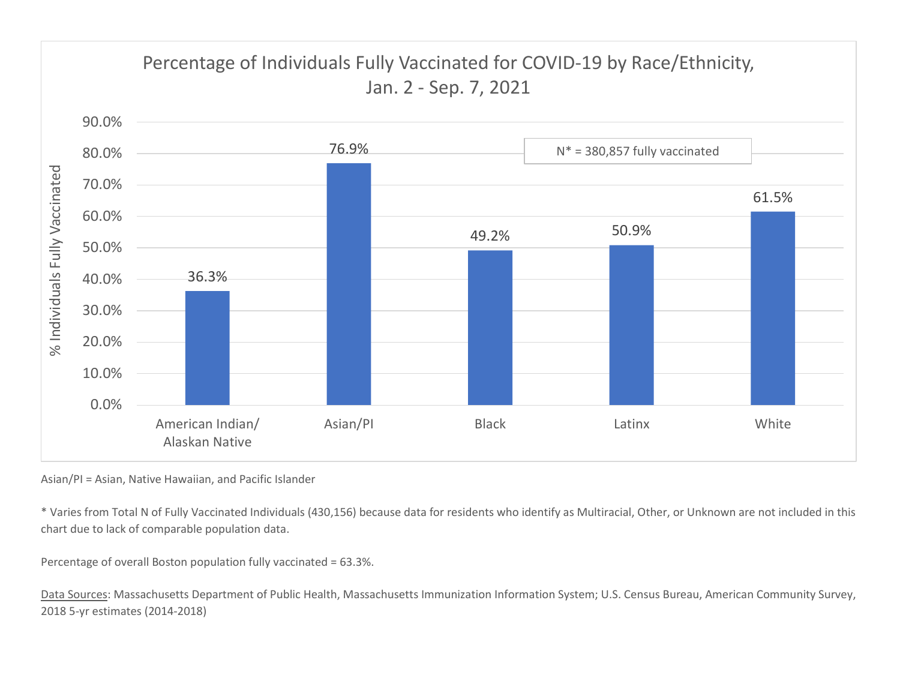

Asian/PI = Asian, Native Hawaiian, and Pacific Islander

\* Varies from Total N of Fully Vaccinated Individuals (430,156) because data for residents who identify as Multiracial, Other, or Unknown are not included in this chart due to lack of comparable population data.

Percentage of overall Boston population fully vaccinated = 63.3%.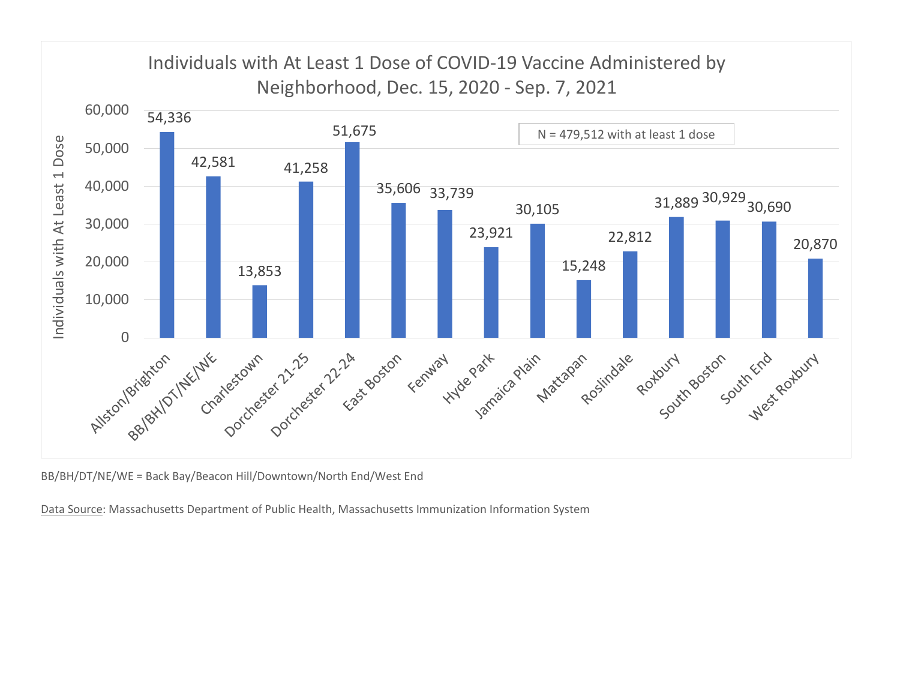

BB/BH/DT/NE/WE = Back Bay/Beacon Hill/Downtown/North End/West End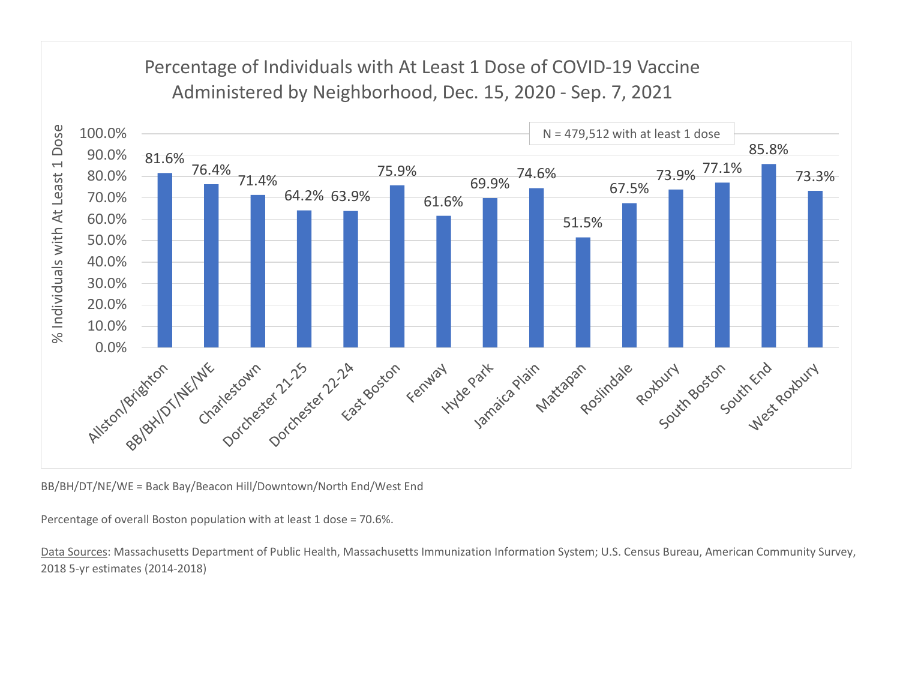

BB/BH/DT/NE/WE = Back Bay/Beacon Hill/Downtown/North End/West End

Percentage of overall Boston population with at least 1 dose = 70.6%.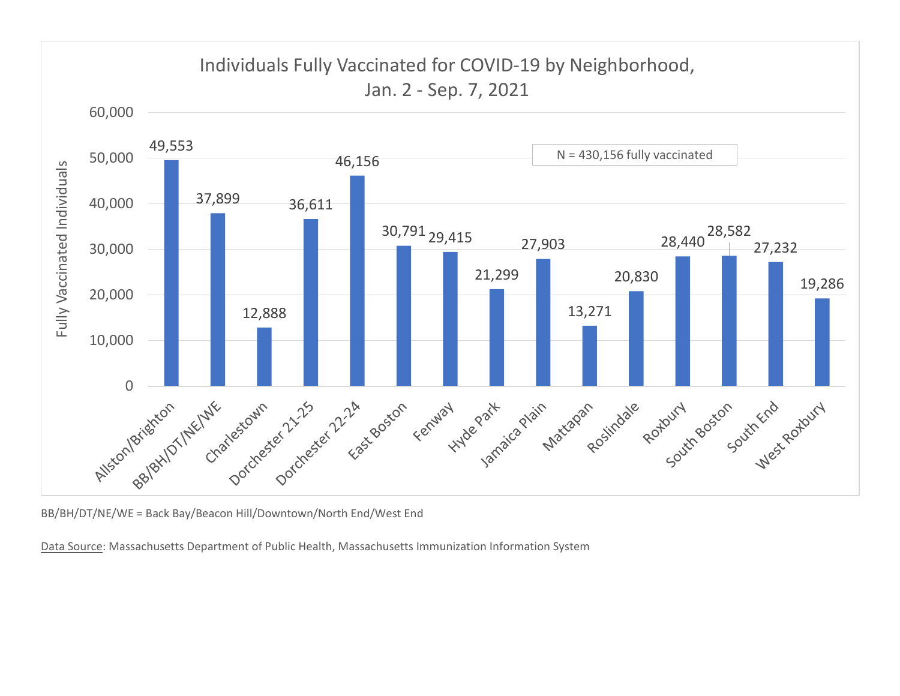

BB/BH/DT/NE/WE = Back Bay/Beacon Hill/Downtown/North End/West End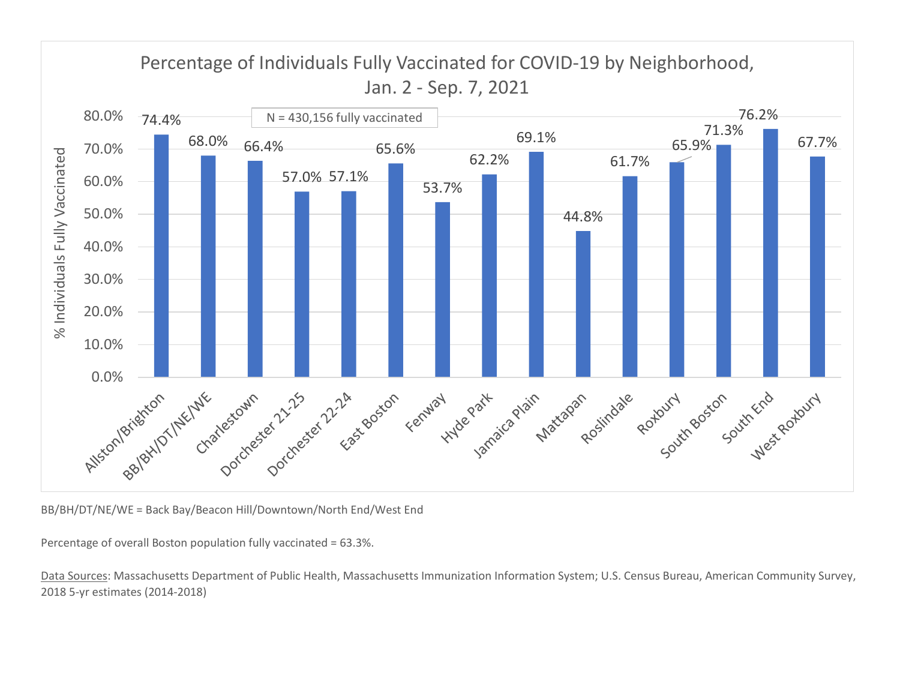

BB/BH/DT/NE/WE = Back Bay/Beacon Hill/Downtown/North End/West End

Percentage of overall Boston population fully vaccinated = 63.3%.